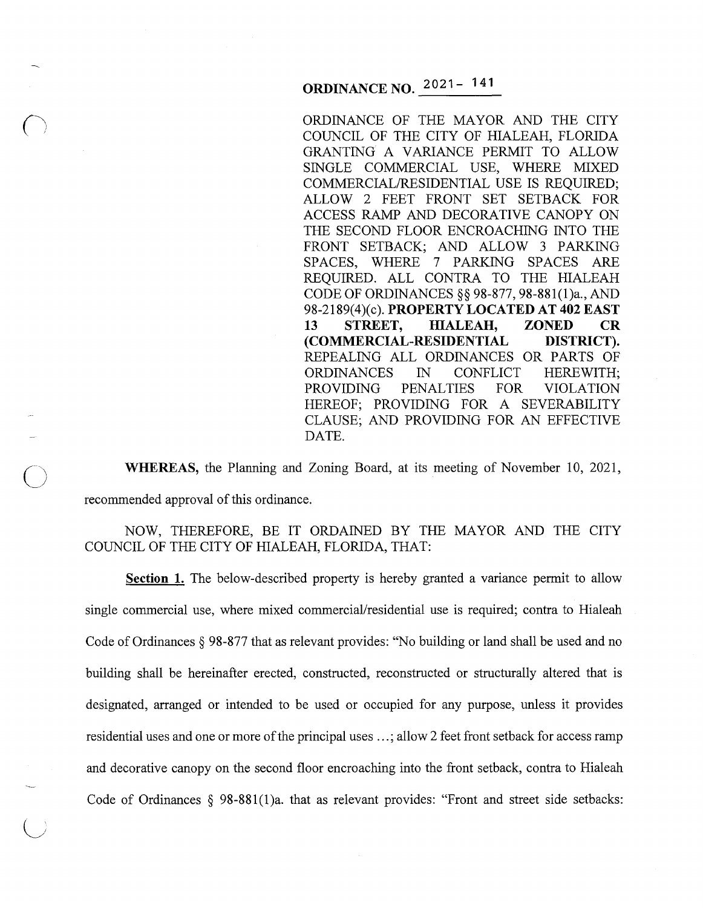# **ORDINANCE NO. 2021-141**

ORDINANCE OF THE MAYOR AND THE CITY COUNCIL OF THE CITY OF HIALEAH, FLORIDA GRANTING A VARIANCE PERMIT TO ALLOW SINGLE COMMERCIAL USE, WHERE MIXED COMMERCIAL/RESIDENTIAL USE IS REQUIRED; ALLOW 2 FEET FRONT SET SETBACK FOR ACCESS RAMP AND DECORATIVE CANOPY ON THE SECOND FLOOR ENCROACHING INTO THE FRONT SETBACK; AND ALLOW 3 PARKING SPACES, WHERE 7 PARKING SPACES ARE REQUIRED. ALL CONTRA TO THE HIALEAH CODE OF ORDINANCES§§ 98-877, 98-881(1)a., AND 98-2189(4)(c). **PROPERTY LOCATED AT 402 EAST 13 STREET, HIALEAH, ZONED CR (COMMERCIAL-RESIDENTIAL DISTRICT).**  REPEALING ALL ORDINANCES OR PARTS OF ORDINANCES IN CONFLICT HEREWITH; PROVIDING PENALTIES FOR VIOLATION HEREOF; PROVIDING FOR A SEVERABILITY CLAUSE; AND PROVIDING FOR AN EFFECTIVE DATE.

**WHEREAS,** the Planning and Zoning Board, at its meeting of November 10, 2021, recommended approval of this ordinance.

 $\bigcirc$ 

NOW, THEREFORE, BE IT ORDAINED BY THE MAYOR AND THE CITY COUNCIL OF THE CITY OF HIALEAH, FLORIDA, THAT:

**Section 1.** The below-described property is hereby granted a variance permit to allow single commercial use, where mixed commercial/residential use is required; contra to Hialeah Code of Ordinances § 98-877 that as relevant provides: "No building or land shall be used and no building shall be hereinafter erected, constructed, reconstructed or structurally altered that is designated, arranged or intended to be used or occupied for any purpose, unless it provides residential uses and one or more of the principal uses ...; allow 2 feet front setback for access ramp and decorative canopy on the second floor encroaching into the front setback, contra to Hialeah Code of Ordinances § 98-881(1)a. that as relevant provides: "Front and street side setbacks: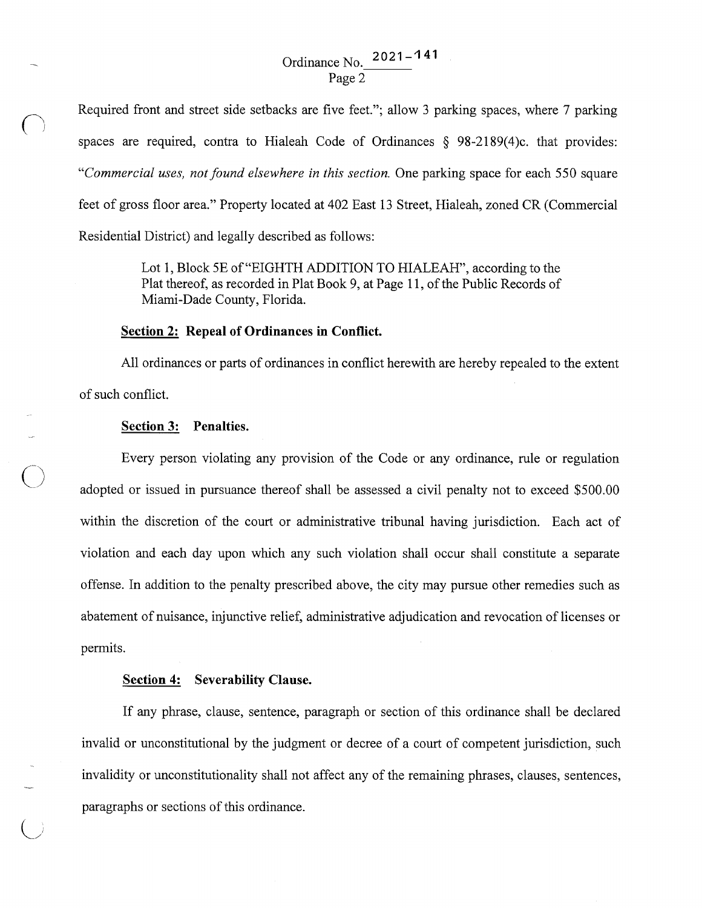## Ordinance No. 2 O 21 - **<sup>4</sup>**4 1 Page 2

Required front and street side setbacks are five feet."; allow 3 parking spaces, where 7 parking spaces are required, contra to Hialeah Code of Ordinances  $\S$  98-2189(4)c. that provides: *"Commercial uses, not found elsewhere in this section.* One parking space for each 550 square feet of gross floor area." Property located at 402 East 13 Street, Hialeah, zoned CR (Commercial Residential District) and legally described as follows:

> Lot 1, Block 5E of "EIGHTH ADDITION TO HIALEAH", according to the Plat thereof, as recorded in Plat Book 9, at Page 11, of the Public Records of Miami-Dade County, Florida.

#### **Section 2: Repeal of Ordinances in Conflict.**

All ordinances or parts of ordinances in conflict herewith are hereby repealed to the extent of such conflict.

#### **Section 3: Penalties.**

 $\bigcap$ 

 $\bigcirc$ 

Every person violating any provision of the Code or any ordinance, rule or regulation adopted or issued in pursuance thereof shall be assessed a civil penalty not to exceed \$500.00 within the discretion of the court or administrative tribunal having jurisdiction. Each act of violation and each day upon which any such violation shall occur shall constitute a separate offense. In addition to the penalty prescribed above, the city may pursue other remedies such as abatement of nuisance, injunctive relief, administrative adjudication and revocation of licenses or permits.

#### **Section 4: Severability Clause.**

If any phrase, clause, sentence, paragraph or section of this ordinance shall be declared invalid or unconstitutional by the judgment or decree of a court of competent jurisdiction, such invalidity or unconstitutionality shall not affect any of the remaining phrases, clauses, sentences, paragraphs or sections of this ordinance.